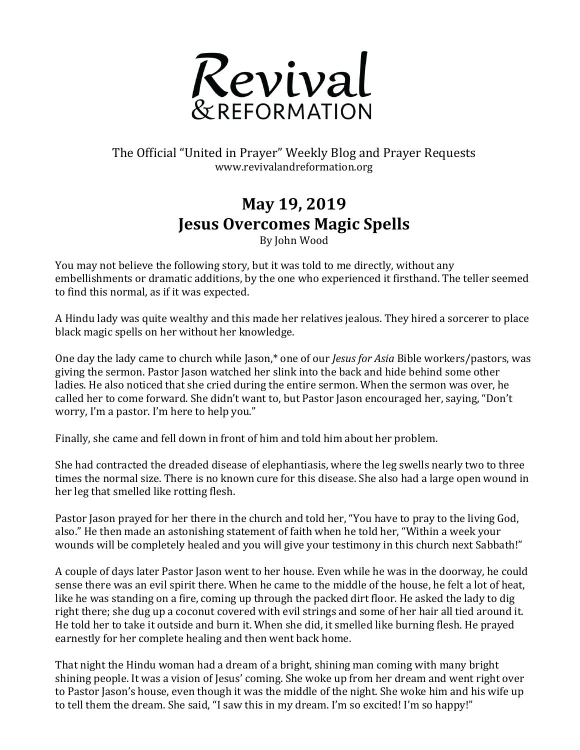

## The Official "United in Prayer" Weekly Blog and Prayer Requests www.revivalandreformation.org

## **May 19, 2019 Jesus Overcomes Magic Spells**

By John Wood

You may not believe the following story, but it was told to me directly, without any embellishments or dramatic additions, by the one who experienced it firsthand. The teller seemed to find this normal, as if it was expected.

A Hindu lady was quite wealthy and this made her relatives jealous. They hired a sorcerer to place black magic spells on her without her knowledge.

One day the lady came to church while Jason,<sup>\*</sup> one of our *Jesus for Asia* Bible workers/pastors, was giving the sermon. Pastor Jason watched her slink into the back and hide behind some other ladies. He also noticed that she cried during the entire sermon. When the sermon was over, he called her to come forward. She didn't want to, but Pastor Jason encouraged her, saying, "Don't worry, I'm a pastor. I'm here to help you."

Finally, she came and fell down in front of him and told him about her problem.

She had contracted the dreaded disease of elephantiasis, where the leg swells nearly two to three times the normal size. There is no known cure for this disease. She also had a large open wound in her leg that smelled like rotting flesh.

Pastor Jason prayed for her there in the church and told her, "You have to pray to the living God, also." He then made an astonishing statement of faith when he told her, "Within a week your wounds will be completely healed and you will give your testimony in this church next Sabbath!"

A couple of days later Pastor Jason went to her house. Even while he was in the doorway, he could sense there was an evil spirit there. When he came to the middle of the house, he felt a lot of heat. like he was standing on a fire, coming up through the packed dirt floor. He asked the lady to dig right there; she dug up a coconut covered with evil strings and some of her hair all tied around it. He told her to take it outside and burn it. When she did, it smelled like burning flesh. He prayed earnestly for her complete healing and then went back home.

That night the Hindu woman had a dream of a bright, shining man coming with many bright shining people. It was a vision of Jesus' coming. She woke up from her dream and went right over to Pastor Jason's house, even though it was the middle of the night. She woke him and his wife up to tell them the dream. She said, "I saw this in my dream. I'm so excited! I'm so happy!"